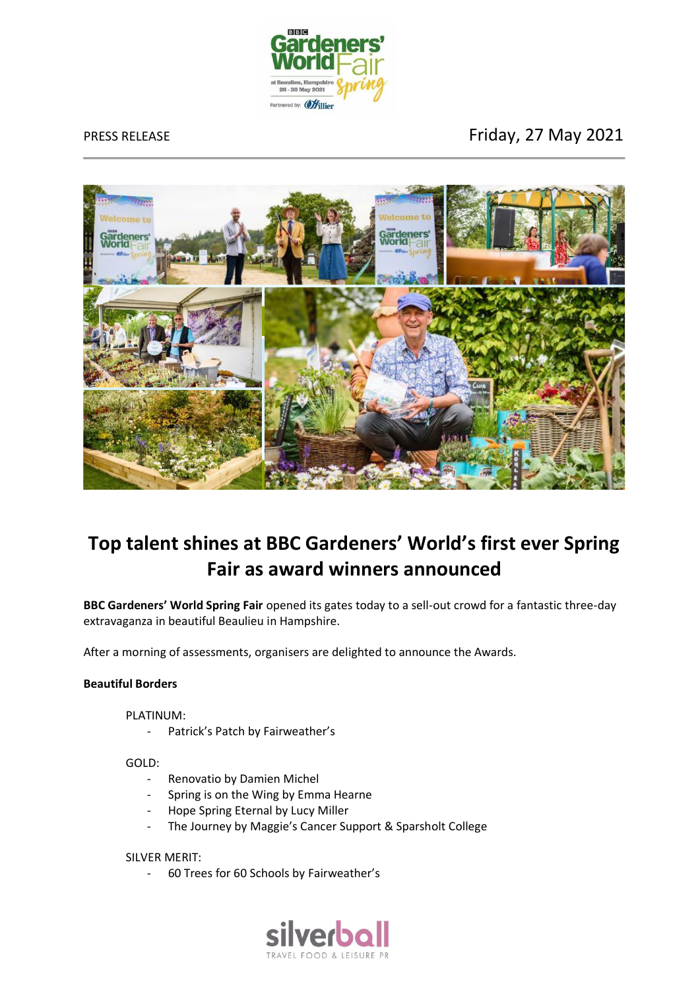

PRESS RELEASE **FRESS RELEASE FRESS RELEASE** 



# **Top talent shines at BBC Gardeners' World's first ever Spring Fair as award winners announced**

**BBC Gardeners' World Spring Fair** opened its gates today to a sell-out crowd for a fantastic three-day extravaganza in beautiful Beaulieu in Hampshire.

After a morning of assessments, organisers are delighted to announce the Awards.

# **Beautiful Borders**

PLATINUM:

- Patrick's Patch by Fairweather's

GOLD:

- Renovatio by Damien Michel
- Spring is on the Wing by Emma Hearne
- Hope Spring Eternal by Lucy Miller
- The Journey by Maggie's Cancer Support & Sparsholt College

# SILVER MERIT:

- 60 Trees for 60 Schools by Fairweather's

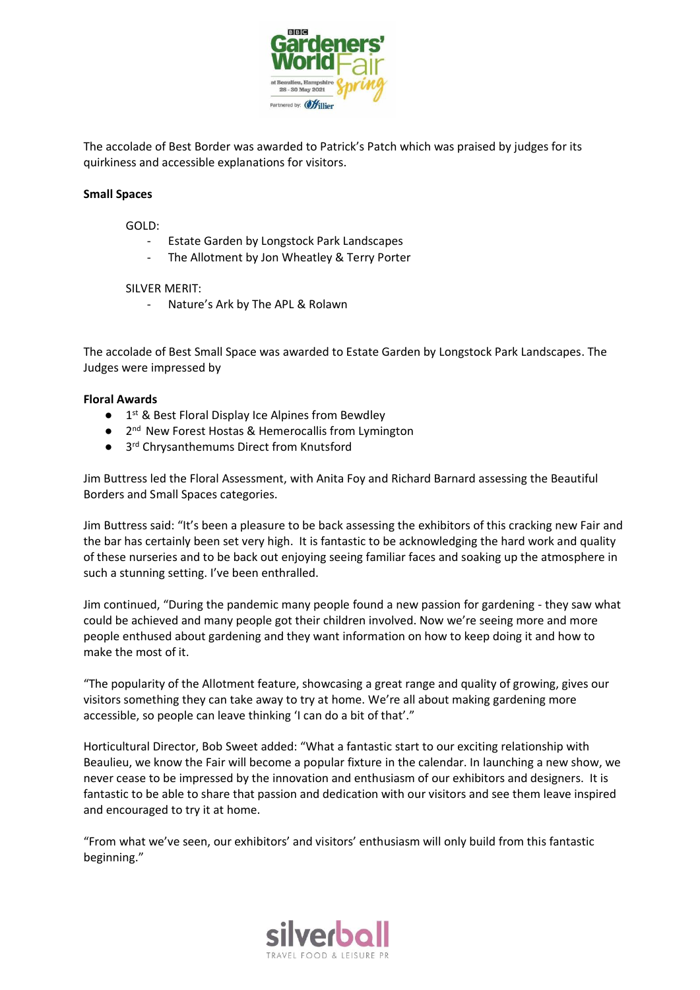

The accolade of Best Border was awarded to Patrick's Patch which was praised by judges for its quirkiness and accessible explanations for visitors.

# **Small Spaces**

GOLD:

- Estate Garden by Longstock Park Landscapes
- The Allotment by Jon Wheatley & Terry Porter

## SILVER MERIT:

- Nature's Ark by The APL & Rolawn

The accolade of Best Small Space was awarded to Estate Garden by Longstock Park Landscapes. The Judges were impressed by

# **Floral Awards**

- 1<sup>st</sup> & Best Floral Display Ice Alpines from Bewdley
- 2<sup>nd</sup> New Forest Hostas & Hemerocallis from Lymington
- 3<sup>rd</sup> Chrysanthemums Direct from Knutsford

Jim Buttress led the Floral Assessment, with Anita Foy and Richard Barnard assessing the Beautiful Borders and Small Spaces categories.

Jim Buttress said: "It's been a pleasure to be back assessing the exhibitors of this cracking new Fair and the bar has certainly been set very high. It is fantastic to be acknowledging the hard work and quality of these nurseries and to be back out enjoying seeing familiar faces and soaking up the atmosphere in such a stunning setting. I've been enthralled.

Jim continued, "During the pandemic many people found a new passion for gardening - they saw what could be achieved and many people got their children involved. Now we're seeing more and more people enthused about gardening and they want information on how to keep doing it and how to make the most of it.

"The popularity of the Allotment feature, showcasing a great range and quality of growing, gives our visitors something they can take away to try at home. We're all about making gardening more accessible, so people can leave thinking 'I can do a bit of that'."

Horticultural Director, Bob Sweet added: "What a fantastic start to our exciting relationship with Beaulieu, we know the Fair will become a popular fixture in the calendar. In launching a new show, we never cease to be impressed by the innovation and enthusiasm of our exhibitors and designers. It is fantastic to be able to share that passion and dedication with our visitors and see them leave inspired and encouraged to try it at home.

"From what we've seen, our exhibitors' and visitors' enthusiasm will only build from this fantastic beginning."

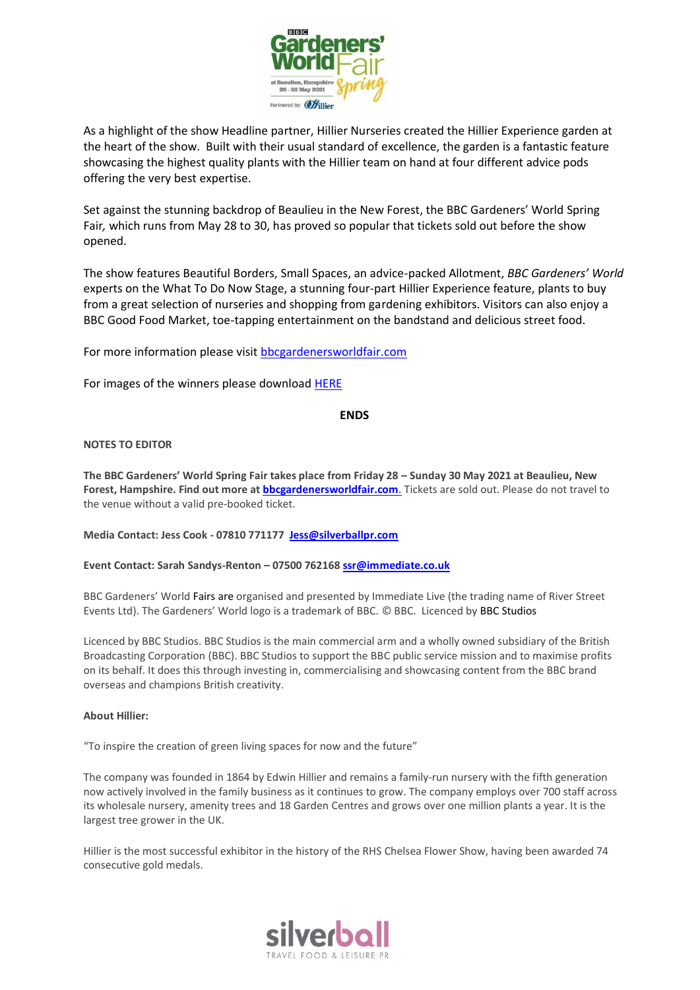

As a highlight of the show Headline partner, Hillier Nurseries created the Hillier Experience garden at the heart of the show. Built with their usual standard of excellence, the garden is a fantastic feature showcasing the highest quality plants with the Hillier team on hand at four different advice pods offering the very best expertise.

Set against the stunning backdrop of Beaulieu in the New Forest, the BBC Gardeners' World Spring Fair*,* which runs from May 28 to 30, has proved so popular that tickets sold out before the show opened.

The show features Beautiful Borders, Small Spaces, an advice-packed Allotment, *BBC Gardeners' World* experts on the What To Do Now Stage, a stunning four-part Hillier Experience feature, plants to buy from a great selection of nurseries and shopping from gardening exhibitors. Visitors can also enjoy a BBC Good Food Market, toe-tapping entertainment on the bandstand and delicious street food.

For more information please visit [bbcgardenersworldfair.com](http://www.bbcgardenersworldfair.com/)

For images of the winners please downloa[d HERE](https://we.tl/t-TteaipQH2g)

## **ENDS**

## **NOTES TO EDITOR**

**The BBC Gardeners' World Spring Fair takes place from Friday 28 – Sunday 30 May 2021 at Beaulieu, New Forest, Hampshire. Find out more a[t bbcgardenersworldfair.com](http://www.bbcgardenersworldfair.com/)**. Tickets are sold out. Please do not travel to the venue without a valid pre-booked ticket.

**Media Contact: Jess Cook - 07810 771177 [Jess@silverballpr.com](mailto:Jess@silverballpr.com)**

**Event Contact: Sarah Sandys-Renton – 07500 76216[8 ssr@immediate.co.uk](mailto:ssr@immediate.co.uk)**

BBC Gardeners' World Fairs are organised and presented by Immediate Live (the trading name of River Street Events Ltd). The Gardeners' World logo is a trademark of BBC. © BBC. Licenced by BBC Studios

Licenced by BBC Studios. BBC Studios is the main commercial arm and a wholly owned subsidiary of the British Broadcasting Corporation (BBC). BBC Studios to support the BBC public service mission and to maximise profits on its behalf. It does this through investing in, commercialising and showcasing content from the BBC brand overseas and champions British creativity.

## **About Hillier:**

"To inspire the creation of green living spaces for now and the future"

The company was founded in 1864 by Edwin Hillier and remains a family-run nursery with the fifth generation now actively involved in the family business as it continues to grow. The company employs over 700 staff across its wholesale nursery, amenity trees and 18 Garden Centres and grows over one million plants a year. It is the largest tree grower in the UK.

Hillier is the most successful exhibitor in the history of the RHS Chelsea Flower Show, having been awarded 74 consecutive gold medals.